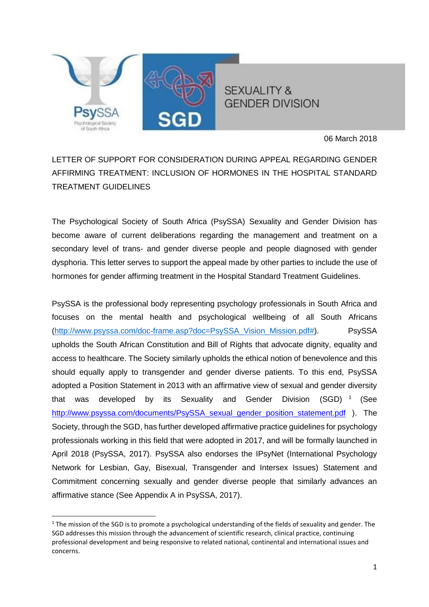

06 March 2018

LETTER OF SUPPORT FOR CONSIDERATION DURING APPEAL REGARDING GENDER AFFIRMING TREATMENT: INCLUSION OF HORMONES IN THE HOSPITAL STANDARD TREATMENT GUIDELINES

The Psychological Society of South Africa (PsySSA) Sexuality and Gender Division has become aware of current deliberations regarding the management and treatment on a secondary level of trans- and gender diverse people and people diagnosed with gender dysphoria. This letter serves to support the appeal made by other parties to include the use of hormones for gender affirming treatment in the Hospital Standard Treatment Guidelines.

PsySSA is the professional body representing psychology professionals in South Africa and focuses on the mental health and psychological wellbeing of all South Africans [\(http://www.psyssa.com/doc-frame.asp?doc=PsySSA\\_Vision\\_Mission.pdf#\)](http://www.psyssa.com/doc-frame.asp?doc=PsySSA_Vision_Mission.pdf). PsySSA upholds the South African Constitution and Bill of Rights that advocate dignity, equality and access to healthcare. The Society similarly upholds the ethical notion of benevolence and this should equally apply to transgender and gender diverse patients. To this end, PsySSA adopted a Position Statement in 2013 with an affirmative view of sexual and gender diversity that was developed by its Sexuality and Gender Division  $(SGD)$ <sup>1</sup> (See [http://www.psyssa.com/documents/PsySSA\\_sexual\\_gender\\_position\\_statement.pdf](http://www.psyssa.com/documents/PsySSA_sexual_gender_position_statement.pdf) ). The Society, through the SGD, has further developed affirmative practice guidelines for psychology professionals working in this field that were adopted in 2017, and will be formally launched in April 2018 (PsySSA, 2017). PsySSA also endorses the IPsyNet (International Psychology Network for Lesbian, Gay, Bisexual, Transgender and Intersex Issues) Statement and Commitment concerning sexually and gender diverse people that similarly advances an affirmative stance (See Appendix A in PsySSA, 2017).

1

<sup>&</sup>lt;sup>1</sup> The mission of the SGD is to promote a psychological understanding of the fields of sexuality and gender. The SGD addresses this mission through the advancement of scientific research, clinical practice, continuing professional development and being responsive to related national, continental and international issues and concerns.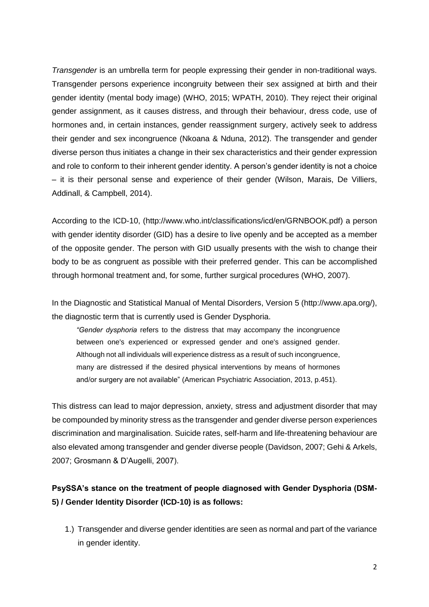*Transgender* is an umbrella term for people expressing their gender in non-traditional ways. Transgender persons experience incongruity between their sex assigned at birth and their gender identity (mental body image) (WHO, 2015; WPATH, 2010). They reject their original gender assignment, as it causes distress, and through their behaviour, dress code, use of hormones and, in certain instances, gender reassignment surgery, actively seek to address their gender and sex incongruence (Nkoana & Nduna, 2012). The transgender and gender diverse person thus initiates a change in their sex characteristics and their gender expression and role to conform to their inherent gender identity. A person's gender identity is not a choice – it is their personal sense and experience of their gender (Wilson, Marais, De Villiers, Addinall, & Campbell, 2014).

According to the ICD-10, (http://www.who.int/classifications/icd/en/GRNBOOK.pdf) a person with gender identity disorder (GID) has a desire to live openly and be accepted as a member of the opposite gender. The person with GID usually presents with the wish to change their body to be as congruent as possible with their preferred gender. This can be accomplished through hormonal treatment and, for some, further surgical procedures (WHO, 2007).

In the Diagnostic and Statistical Manual of Mental Disorders, Version 5 (http://www.apa.org/), the diagnostic term that is currently used is Gender Dysphoria.

*"Gender dysphoria* refers to the distress that may accompany the incongruence between one's experienced or expressed gender and one's assigned gender. Although not all individuals will experience distress as a result of such incongruence, many are distressed if the desired physical interventions by means of hormones and/or surgery are not available" (American Psychiatric Association, 2013, p.451).

This distress can lead to major depression, anxiety, stress and adjustment disorder that may be compounded by minority stress as the transgender and gender diverse person experiences discrimination and marginalisation. Suicide rates, self-harm and life-threatening behaviour are also elevated among transgender and gender diverse people (Davidson, 2007; Gehi & Arkels, 2007; Grosmann & D'Augelli, 2007).

**PsySSA's stance on the treatment of people diagnosed with Gender Dysphoria (DSM-5) / Gender Identity Disorder (ICD-10) is as follows:**

1.) Transgender and diverse gender identities are seen as normal and part of the variance in gender identity.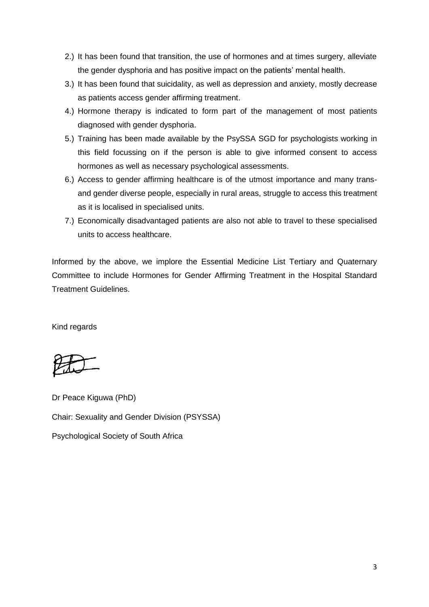- 2.) It has been found that transition, the use of hormones and at times surgery, alleviate the gender dysphoria and has positive impact on the patients' mental health.
- 3.) It has been found that suicidality, as well as depression and anxiety, mostly decrease as patients access gender affirming treatment.
- 4.) Hormone therapy is indicated to form part of the management of most patients diagnosed with gender dysphoria.
- 5.) Training has been made available by the PsySSA SGD for psychologists working in this field focussing on if the person is able to give informed consent to access hormones as well as necessary psychological assessments.
- 6.) Access to gender affirming healthcare is of the utmost importance and many transand gender diverse people, especially in rural areas, struggle to access this treatment as it is localised in specialised units.
- 7.) Economically disadvantaged patients are also not able to travel to these specialised units to access healthcare.

Informed by the above, we implore the Essential Medicine List Tertiary and Quaternary Committee to include Hormones for Gender Affirming Treatment in the Hospital Standard Treatment Guidelines.

Kind regards

Dr Peace Kiguwa (PhD)

Chair: Sexuality and Gender Division (PSYSSA)

Psychological Society of South Africa